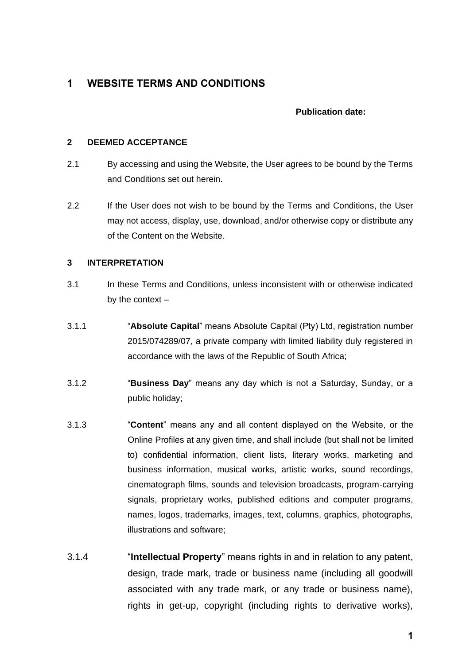# **1 WEBSITE TERMS AND CONDITIONS**

## **Publication date:**

#### **2 DEEMED ACCEPTANCE**

- 2.1 By accessing and using the Website, the User agrees to be bound by the Terms and Conditions set out herein.
- 2.2 If the User does not wish to be bound by the Terms and Conditions, the User may not access, display, use, download, and/or otherwise copy or distribute any of the Content on the Website.

## **3 INTERPRETATION**

- 3.1 In these Terms and Conditions, unless inconsistent with or otherwise indicated by the context –
- 3.1.1 "**Absolute Capital**" means Absolute Capital (Pty) Ltd, registration number 2015/074289/07, a private company with limited liability duly registered in accordance with the laws of the Republic of South Africa;
- 3.1.2 "**Business Day**" means any day which is not a Saturday, Sunday, or a public holiday;
- 3.1.3 "**Content**" means any and all content displayed on the Website, or the Online Profiles at any given time, and shall include (but shall not be limited to) confidential information, client lists, literary works, marketing and business information, musical works, artistic works, sound recordings, cinematograph films, sounds and television broadcasts, program-carrying signals, proprietary works, published editions and computer programs, names, logos, trademarks, images, text, columns, graphics, photographs, illustrations and software;
- 3.1.4 "**Intellectual Property**" means rights in and in relation to any patent, design, trade mark, trade or business name (including all goodwill associated with any trade mark, or any trade or business name), rights in get-up, copyright (including rights to derivative works),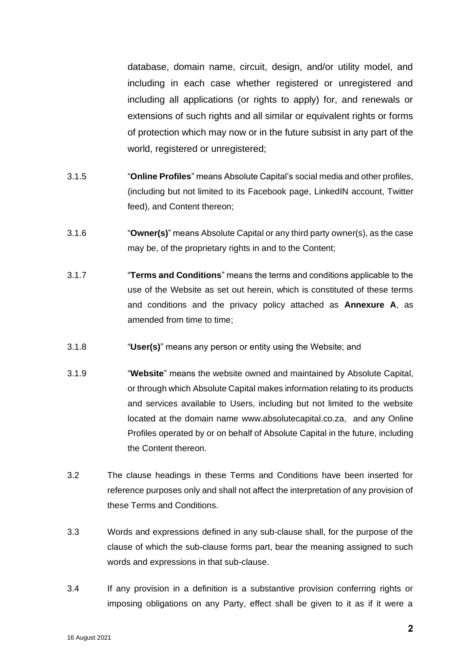database, domain name, circuit, design, and/or utility model, and including in each case whether registered or unregistered and including all applications (or rights to apply) for, and renewals or extensions of such rights and all similar or equivalent rights or forms of protection which may now or in the future subsist in any part of the world, registered or unregistered;

- 3.1.5 "**Online Profiles**" means Absolute Capital's social media and other profiles, (including but not limited to its Facebook page, LinkedIN account, Twitter feed), and Content thereon;
- 3.1.6 "**Owner(s)**" means Absolute Capital or any third party owner(s), as the case may be, of the proprietary rights in and to the Content;
- 3.1.7 "**Terms and Conditions**" means the terms and conditions applicable to the use of the Website as set out herein, which is constituted of these terms and conditions and the privacy policy attached as **Annexure A**, as amended from time to time;
- 3.1.8 "**User(s)**" means any person or entity using the Website; and
- 3.1.9 "**Website**" means the website owned and maintained by Absolute Capital, or through which Absolute Capital makes information relating to its products and services available to Users, including but not limited to the website located at the domain name www.absolutecapital.co.za, and any Online Profiles operated by or on behalf of Absolute Capital in the future, including the Content thereon.
- 3.2 The clause headings in these Terms and Conditions have been inserted for reference purposes only and shall not affect the interpretation of any provision of these Terms and Conditions.
- 3.3 Words and expressions defined in any sub-clause shall, for the purpose of the clause of which the sub-clause forms part, bear the meaning assigned to such words and expressions in that sub-clause.
- 3.4 If any provision in a definition is a substantive provision conferring rights or imposing obligations on any Party, effect shall be given to it as if it were a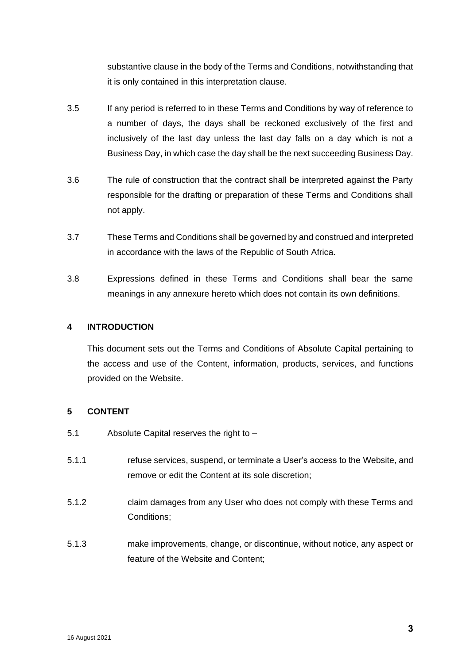substantive clause in the body of the Terms and Conditions, notwithstanding that it is only contained in this interpretation clause.

- 3.5 If any period is referred to in these Terms and Conditions by way of reference to a number of days, the days shall be reckoned exclusively of the first and inclusively of the last day unless the last day falls on a day which is not a Business Day, in which case the day shall be the next succeeding Business Day.
- 3.6 The rule of construction that the contract shall be interpreted against the Party responsible for the drafting or preparation of these Terms and Conditions shall not apply.
- 3.7 These Terms and Conditions shall be governed by and construed and interpreted in accordance with the laws of the Republic of South Africa.
- 3.8 Expressions defined in these Terms and Conditions shall bear the same meanings in any annexure hereto which does not contain its own definitions.

## **4 INTRODUCTION**

This document sets out the Terms and Conditions of Absolute Capital pertaining to the access and use of the Content, information, products, services, and functions provided on the Website.

# **5 CONTENT**

- 5.1 Absolute Capital reserves the right to –
- 5.1.1 refuse services, suspend, or terminate a User's access to the Website, and remove or edit the Content at its sole discretion;
- 5.1.2 claim damages from any User who does not comply with these Terms and Conditions;
- 5.1.3 make improvements, change, or discontinue, without notice, any aspect or feature of the Website and Content;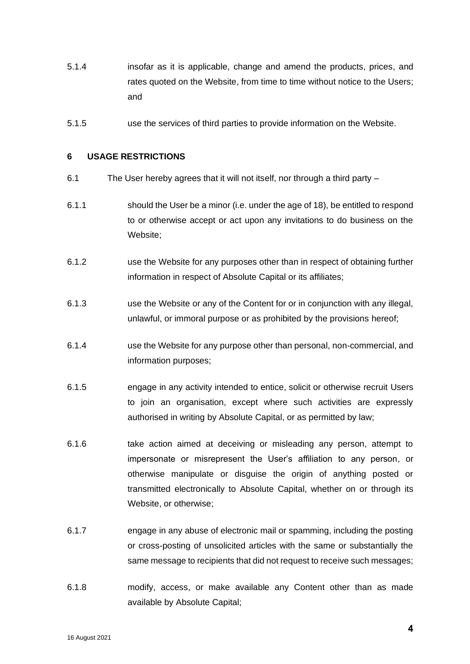- 5.1.4 insofar as it is applicable, change and amend the products, prices, and rates quoted on the Website, from time to time without notice to the Users; and
- 5.1.5 use the services of third parties to provide information on the Website.

#### **6 USAGE RESTRICTIONS**

- 6.1 The User hereby agrees that it will not itself, nor through a third party –
- 6.1.1 should the User be a minor (i.e. under the age of 18), be entitled to respond to or otherwise accept or act upon any invitations to do business on the Website;
- 6.1.2 use the Website for any purposes other than in respect of obtaining further information in respect of Absolute Capital or its affiliates;
- 6.1.3 use the Website or any of the Content for or in conjunction with any illegal, unlawful, or immoral purpose or as prohibited by the provisions hereof;
- 6.1.4 use the Website for any purpose other than personal, non-commercial, and information purposes;
- 6.1.5 engage in any activity intended to entice, solicit or otherwise recruit Users to join an organisation, except where such activities are expressly authorised in writing by Absolute Capital, or as permitted by law;
- 6.1.6 take action aimed at deceiving or misleading any person, attempt to impersonate or misrepresent the User's affiliation to any person, or otherwise manipulate or disguise the origin of anything posted or transmitted electronically to Absolute Capital, whether on or through its Website, or otherwise;
- 6.1.7 engage in any abuse of electronic mail or spamming, including the posting or cross-posting of unsolicited articles with the same or substantially the same message to recipients that did not request to receive such messages;
- 6.1.8 modify, access, or make available any Content other than as made available by Absolute Capital;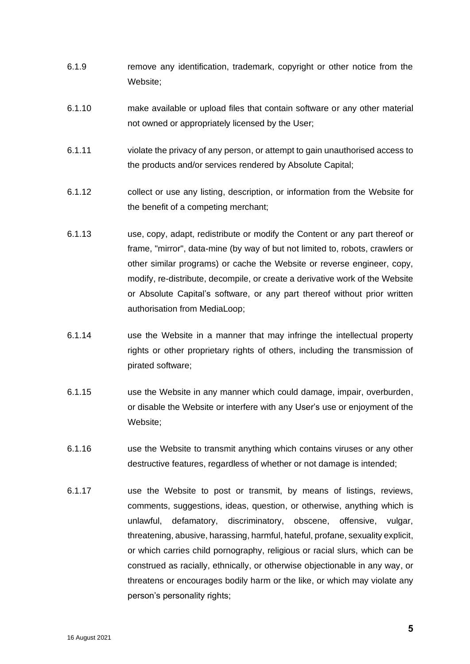- 6.1.9 remove any identification, trademark, copyright or other notice from the Website;
- 6.1.10 make available or upload files that contain software or any other material not owned or appropriately licensed by the User;
- 6.1.11 violate the privacy of any person, or attempt to gain unauthorised access to the products and/or services rendered by Absolute Capital;
- 6.1.12 collect or use any listing, description, or information from the Website for the benefit of a competing merchant;
- 6.1.13 use, copy, adapt, redistribute or modify the Content or any part thereof or frame, "mirror", data-mine (by way of but not limited to, robots, crawlers or other similar programs) or cache the Website or reverse engineer, copy, modify, re-distribute, decompile, or create a derivative work of the Website or Absolute Capital's software, or any part thereof without prior written authorisation from MediaLoop;
- 6.1.14 use the Website in a manner that may infringe the intellectual property rights or other proprietary rights of others, including the transmission of pirated software;
- 6.1.15 use the Website in any manner which could damage, impair, overburden, or disable the Website or interfere with any User's use or enjoyment of the Website;
- 6.1.16 use the Website to transmit anything which contains viruses or any other destructive features, regardless of whether or not damage is intended;
- 6.1.17 use the Website to post or transmit, by means of listings, reviews, comments, suggestions, ideas, question, or otherwise, anything which is unlawful, defamatory, discriminatory, obscene, offensive, vulgar, threatening, abusive, harassing, harmful, hateful, profane, sexuality explicit, or which carries child pornography, religious or racial slurs, which can be construed as racially, ethnically, or otherwise objectionable in any way, or threatens or encourages bodily harm or the like, or which may violate any person's personality rights;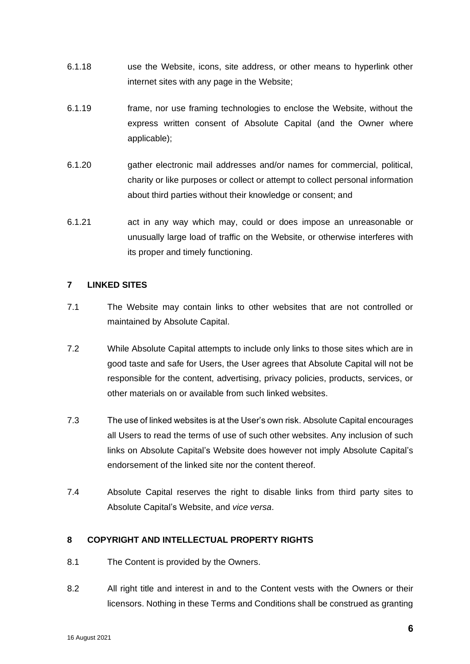- 6.1.18 use the Website, icons, site address, or other means to hyperlink other internet sites with any page in the Website;
- 6.1.19 frame, nor use framing technologies to enclose the Website, without the express written consent of Absolute Capital (and the Owner where applicable);
- 6.1.20 gather electronic mail addresses and/or names for commercial, political, charity or like purposes or collect or attempt to collect personal information about third parties without their knowledge or consent; and
- 6.1.21 act in any way which may, could or does impose an unreasonable or unusually large load of traffic on the Website, or otherwise interferes with its proper and timely functioning.

# **7 LINKED SITES**

- 7.1 The Website may contain links to other websites that are not controlled or maintained by Absolute Capital.
- 7.2 While Absolute Capital attempts to include only links to those sites which are in good taste and safe for Users, the User agrees that Absolute Capital will not be responsible for the content, advertising, privacy policies, products, services, or other materials on or available from such linked websites.
- 7.3 The use of linked websites is at the User's own risk. Absolute Capital encourages all Users to read the terms of use of such other websites. Any inclusion of such links on Absolute Capital's Website does however not imply Absolute Capital's endorsement of the linked site nor the content thereof.
- 7.4 Absolute Capital reserves the right to disable links from third party sites to Absolute Capital's Website, and *vice versa*.

## **8 COPYRIGHT AND INTELLECTUAL PROPERTY RIGHTS**

- 8.1 The Content is provided by the Owners.
- 8.2 All right title and interest in and to the Content vests with the Owners or their licensors. Nothing in these Terms and Conditions shall be construed as granting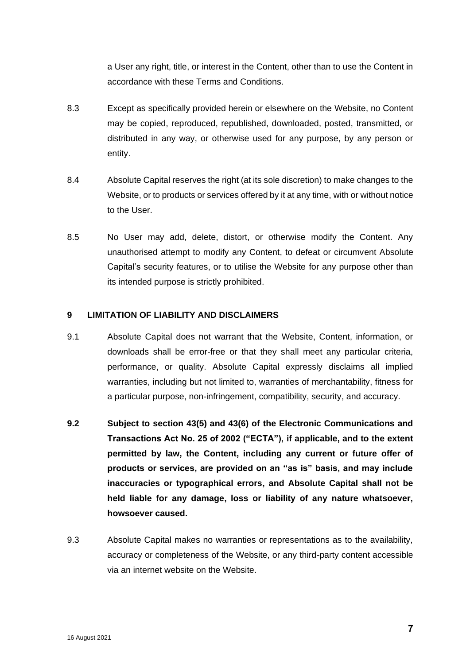a User any right, title, or interest in the Content, other than to use the Content in accordance with these Terms and Conditions.

- 8.3 Except as specifically provided herein or elsewhere on the Website, no Content may be copied, reproduced, republished, downloaded, posted, transmitted, or distributed in any way, or otherwise used for any purpose, by any person or entity.
- 8.4 Absolute Capital reserves the right (at its sole discretion) to make changes to the Website, or to products or services offered by it at any time, with or without notice to the User.
- 8.5 No User may add, delete, distort, or otherwise modify the Content. Any unauthorised attempt to modify any Content, to defeat or circumvent Absolute Capital's security features, or to utilise the Website for any purpose other than its intended purpose is strictly prohibited.

## **9 LIMITATION OF LIABILITY AND DISCLAIMERS**

- 9.1 Absolute Capital does not warrant that the Website, Content, information, or downloads shall be error-free or that they shall meet any particular criteria, performance, or quality. Absolute Capital expressly disclaims all implied warranties, including but not limited to, warranties of merchantability, fitness for a particular purpose, non-infringement, compatibility, security, and accuracy.
- **9.2 Subject to section 43(5) and 43(6) of the Electronic Communications and Transactions Act No. 25 of 2002 ("ECTA"), if applicable, and to the extent permitted by law, the Content, including any current or future offer of products or services, are provided on an "as is" basis, and may include inaccuracies or typographical errors, and Absolute Capital shall not be held liable for any damage, loss or liability of any nature whatsoever, howsoever caused.**
- 9.3 Absolute Capital makes no warranties or representations as to the availability, accuracy or completeness of the Website, or any third-party content accessible via an internet website on the Website.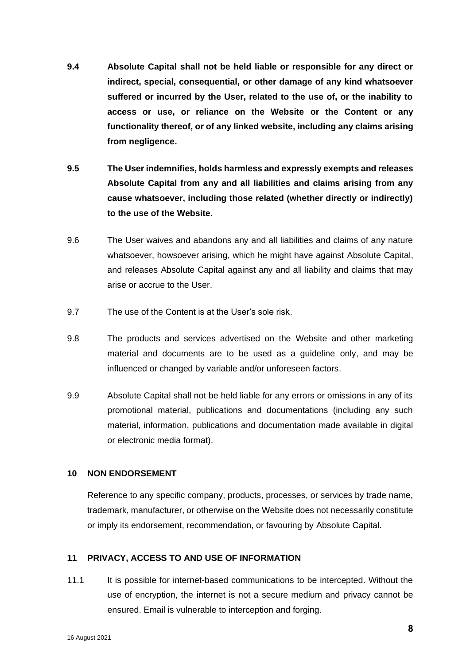- **9.4 Absolute Capital shall not be held liable or responsible for any direct or indirect, special, consequential, or other damage of any kind whatsoever suffered or incurred by the User, related to the use of, or the inability to access or use, or reliance on the Website or the Content or any functionality thereof, or of any linked website, including any claims arising from negligence.**
- **9.5 The User indemnifies, holds harmless and expressly exempts and releases Absolute Capital from any and all liabilities and claims arising from any cause whatsoever, including those related (whether directly or indirectly) to the use of the Website.**
- 9.6 The User waives and abandons any and all liabilities and claims of any nature whatsoever, howsoever arising, which he might have against Absolute Capital, and releases Absolute Capital against any and all liability and claims that may arise or accrue to the User.
- 9.7 The use of the Content is at the User's sole risk.
- 9.8 The products and services advertised on the Website and other marketing material and documents are to be used as a guideline only, and may be influenced or changed by variable and/or unforeseen factors.
- 9.9 Absolute Capital shall not be held liable for any errors or omissions in any of its promotional material, publications and documentations (including any such material, information, publications and documentation made available in digital or electronic media format).

#### **10 NON ENDORSEMENT**

Reference to any specific company, products, processes, or services by trade name, trademark, manufacturer, or otherwise on the Website does not necessarily constitute or imply its endorsement, recommendation, or favouring by Absolute Capital.

## **11 PRIVACY, ACCESS TO AND USE OF INFORMATION**

11.1 It is possible for internet-based communications to be intercepted. Without the use of encryption, the internet is not a secure medium and privacy cannot be ensured. Email is vulnerable to interception and forging.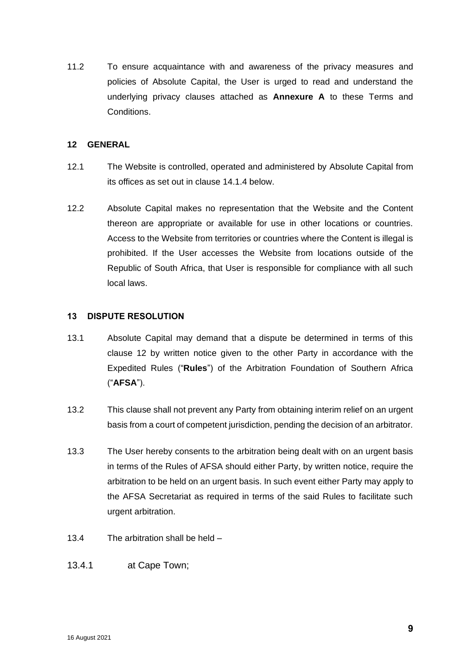11.2 To ensure acquaintance with and awareness of the privacy measures and policies of Absolute Capital, the User is urged to read and understand the underlying privacy clauses attached as **Annexure A** to these Terms and Conditions.

#### **12 GENERAL**

- 12.1 The Website is controlled, operated and administered by Absolute Capital from its offices as set out in clause [14.1.4](#page-10-0) below.
- 12.2 Absolute Capital makes no representation that the Website and the Content thereon are appropriate or available for use in other locations or countries. Access to the Website from territories or countries where the Content is illegal is prohibited. If the User accesses the Website from locations outside of the Republic of South Africa, that User is responsible for compliance with all such local laws.

#### **13 DISPUTE RESOLUTION**

- <span id="page-8-0"></span>13.1 Absolute Capital may demand that a dispute be determined in terms of this clause 12 by written notice given to the other Party in accordance with the Expedited Rules ("**Rules**") of the Arbitration Foundation of Southern Africa ("**AFSA**").
- 13.2 This clause shall not prevent any Party from obtaining interim relief on an urgent basis from a court of competent jurisdiction, pending the decision of an arbitrator.
- 13.3 The User hereby consents to the arbitration being dealt with on an urgent basis in terms of the Rules of AFSA should either Party, by written notice, require the arbitration to be held on an urgent basis. In such event either Party may apply to the AFSA Secretariat as required in terms of the said Rules to facilitate such urgent arbitration.
- 13.4 The arbitration shall be held –
- 13.4.1 at Cape Town;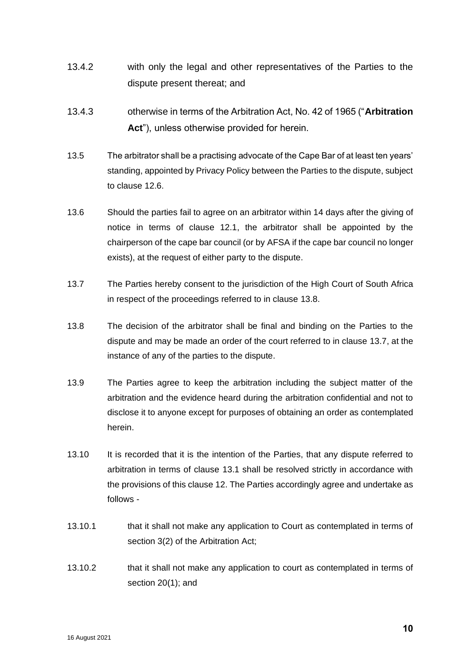- 13.4.2 with only the legal and other representatives of the Parties to the dispute present thereat; and
- 13.4.3 otherwise in terms of the Arbitration Act, No. 42 of 1965 ("**Arbitration Act**"), unless otherwise provided for herein.
- 13.5 The arbitrator shall be a practising advocate of the Cape Bar of at least ten years' standing, appointed by Privacy Policy between the Parties to the dispute, subject to clause 12.6.
- 13.6 Should the parties fail to agree on an arbitrator within 14 days after the giving of notice in terms of clause 12.1, the arbitrator shall be appointed by the chairperson of the cape bar council (or by AFSA if the cape bar council no longer exists), at the request of either party to the dispute.
- <span id="page-9-1"></span>13.7 The Parties hereby consent to the jurisdiction of the High Court of South Africa in respect of the proceedings referred to in clause [13.8.](#page-9-0)
- <span id="page-9-0"></span>13.8 The decision of the arbitrator shall be final and binding on the Parties to the dispute and may be made an order of the court referred to in clause [13.7,](#page-9-1) at the instance of any of the parties to the dispute.
- 13.9 The Parties agree to keep the arbitration including the subject matter of the arbitration and the evidence heard during the arbitration confidential and not to disclose it to anyone except for purposes of obtaining an order as contemplated herein.
- 13.10 It is recorded that it is the intention of the Parties, that any dispute referred to arbitration in terms of clause [13.1](#page-8-0) shall be resolved strictly in accordance with the provisions of this clause 12. The Parties accordingly agree and undertake as follows -
- 13.10.1 that it shall not make any application to Court as contemplated in terms of section 3(2) of the Arbitration Act;
- 13.10.2 that it shall not make any application to court as contemplated in terms of section 20(1); and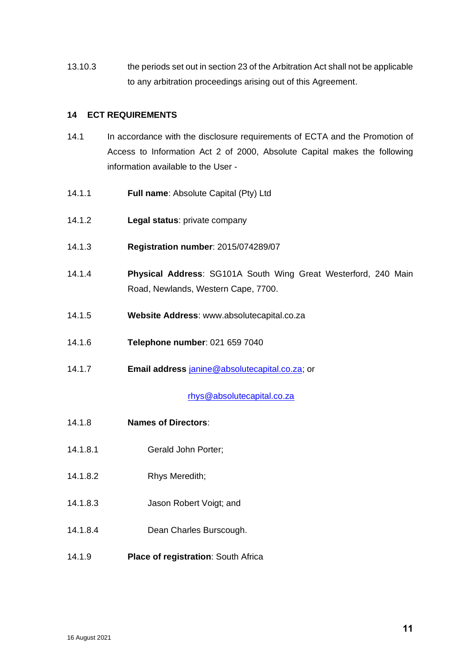13.10.3 the periods set out in section 23 of the Arbitration Act shall not be applicable to any arbitration proceedings arising out of this Agreement.

## **14 ECT REQUIREMENTS**

- 14.1 In accordance with the disclosure requirements of ECTA and the Promotion of Access to Information Act 2 of 2000, Absolute Capital makes the following information available to the User -
- 14.1.1 **Full name**: Absolute Capital (Pty) Ltd
- 14.1.2 **Legal status**: private company
- 14.1.3 **Registration number**: 2015/074289/07
- <span id="page-10-0"></span>14.1.4 **Physical Address**: SG101A South Wing Great Westerford, 240 Main Road, Newlands, Western Cape, 7700.
- 14.1.5 **Website Address**: www.absolutecapital.co.za
- 14.1.6 **Telephone number**: 021 659 7040
- 14.1.7 **Email address** [janine@](mailto:russel@absolutecapital.co.za)absolutecapital.co.za; or

[rhys@absolutecapital.co.za](mailto:rhys@absolutecapital.co.za.co.za)

- 14.1.8 **Names of Directors**:
- 14.1.8.1 Gerald John Porter;
- 14.1.8.2 Rhys Meredith;
- 14.1.8.3 Jason Robert Voigt; and
- 14.1.8.4 Dean Charles Burscough.
- 14.1.9 **Place of registration**: South Africa